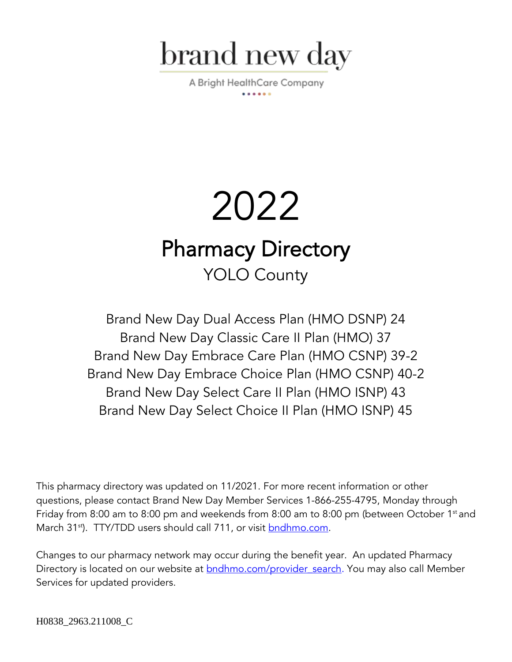

A Bright HealthCare Company

# 2022 Pharmacy Directory YOLO County

Brand New Day Dual Access Plan (HMO DSNP) 24 Brand New Day Classic Care II Plan (HMO) 37 Brand New Day Embrace Care Plan (HMO CSNP) 39-2 Brand New Day Embrace Choice Plan (HMO CSNP) 40-2 Brand New Day Select Care II Plan (HMO ISNP) 43 Brand New Day Select Choice II Plan (HMO ISNP) 45

This pharmacy directory was updated on 11/2021. For more recent information or other questions, please contact Brand New Day Member Services 1-866-255-4795, Monday through Friday from 8:00 am to 8:00 pm and weekends from 8:00 am to 8:00 pm (between October 1st and March 31<sup>st</sup>). TTY/TDD users should call 711, or visit **bndhmo.com**.

Changes to our pharmacy network may occur during the benefit year. An updated Pharmacy Directory is located on our website at **bndhmo.com/provider** search. You may also call Member Services for updated providers.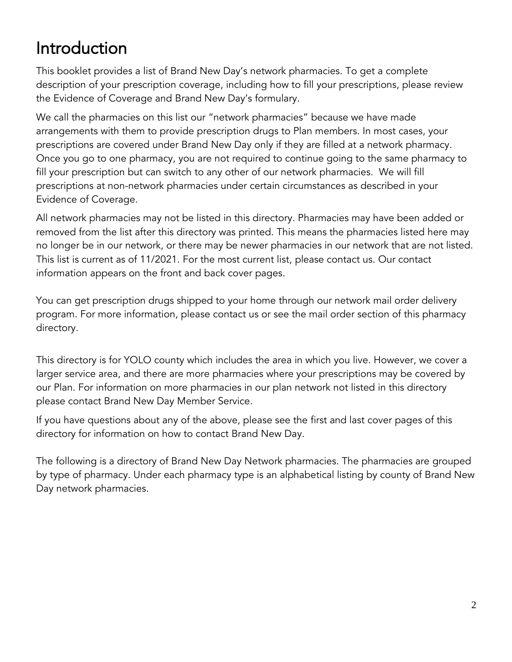## Introduction

This booklet provides a list of Brand New Day's network pharmacies. To get a complete description of your prescription coverage, including how to fill your prescriptions, please review the Evidence of Coverage and Brand New Day's formulary.

We call the pharmacies on this list our "network pharmacies" because we have made arrangements with them to provide prescription drugs to Plan members. In most cases, your prescriptions are covered under Brand New Day only if they are filled at a network pharmacy. Once you go to one pharmacy, you are not required to continue going to the same pharmacy to fill your prescription but can switch to any other of our network pharmacies. We will fill prescriptions at non-network pharmacies under certain circumstances as described in your Evidence of Coverage.

All network pharmacies may not be listed in this directory. Pharmacies may have been added or removed from the list after this directory was printed. This means the pharmacies listed here may no longer be in our network, or there may be newer pharmacies in our network that are not listed. This list is current as of 11/2021. For the most current list, please contact us. Our contact information appears on the front and back cover pages.

You can get prescription drugs shipped to your home through our network mail order delivery program. For more information, please contact us or see the mail order section of this pharmacy directory.

This directory is for YOLO county which includes the area in which you live. However, we cover a larger service area, and there are more pharmacies where your prescriptions may be covered by our Plan. For information on more pharmacies in our plan network not listed in this directory please contact Brand New Day Member Service.

If you have questions about any of the above, please see the first and last cover pages of this directory for information on how to contact Brand New Day.

The following is a directory of Brand New Day Network pharmacies. The pharmacies are grouped by type of pharmacy. Under each pharmacy type is an alphabetical listing by county of Brand New Day network pharmacies.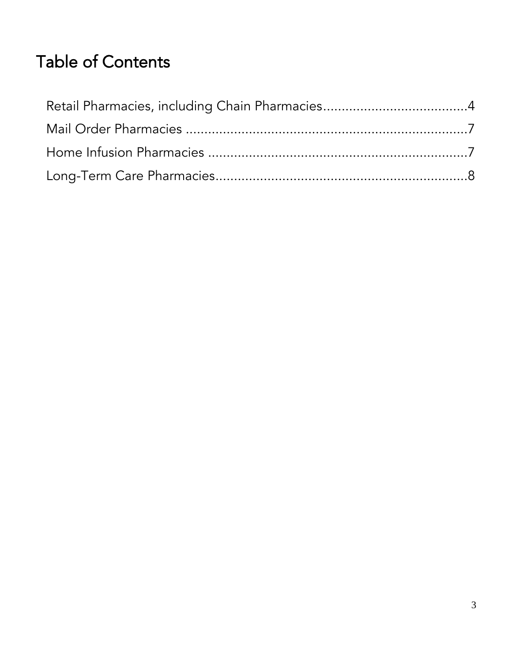## Table of Contents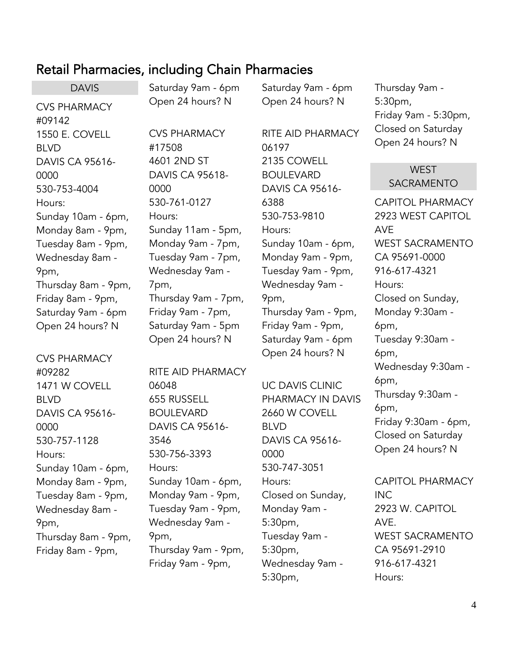### <span id="page-3-0"></span>Retail Pharmacies, including Chain Pharmacies

DAVIS CVS PHARMACY #09142 1550 E. COVELL BLVD DAVIS CA 95616- 0000 530-753-4004 Hours: Sunday 10am - 6pm, Monday 8am - 9pm, Tuesday 8am - 9pm, Wednesday 8am - 9pm, Thursday 8am - 9pm, Friday 8am - 9pm, Saturday 9am - 6pm Open 24 hours? N

CVS PHARMACY #09282 1471 W COVELL BLVD DAVIS CA 95616- 0000 530-757-1128 Hours: Sunday 10am - 6pm, Monday 8am - 9pm, Tuesday 8am - 9pm, Wednesday 8am - 9pm, Thursday 8am - 9pm, Friday 8am - 9pm,

Saturday 9am - 6pm Open 24 hours? N

CVS PHARMACY

DAVIS CA 95618-

Sunday 11am - 5pm, Monday 9am - 7pm, Tuesday 9am - 7pm, Wednesday 9am -

Thursday 9am - 7pm, Friday 9am - 7pm, Saturday 9am - 5pm Open 24 hours? N

RITE AID PHARMACY

4601 2ND ST

530-761-0127

#17508

0000

Hours:

7pm,

06048

3546

Hours:

9pm,

655 RUSSELL BOULEVARD

530-756-3393

DAVIS CA 95616-

Sunday 10am - 6pm, Monday 9am - 9pm, Tuesday 9am - 9pm, Wednesday 9am -

Thursday 9am - 9pm, Friday 9am - 9pm,

Saturday 9am - 6pm Open 24 hours? N

RITE AID PHARMACY 06197 2135 COWELL BOULEVARD DAVIS CA 95616- 6388 530-753-9810 Hours: Sunday 10am - 6pm, Monday 9am - 9pm, Tuesday 9am - 9pm, Wednesday 9am - 9pm, Thursday 9am - 9pm, Friday 9am - 9pm, Saturday 9am - 6pm Open 24 hours? N

UC DAVIS CLINIC PHARMACY IN DAVIS 2660 W COVELL BLVD DAVIS CA 95616- 0000 530-747-3051 Hours: Closed on Sunday, Monday 9am - 5:30pm, Tuesday 9am - 5:30pm, Wednesday 9am - 5:30pm,

Thursday 9am - 5:30pm, Friday 9am - 5:30pm, Closed on Saturday Open 24 hours? N

#### **WEST** SACRAMENTO

CAPITOL PHARMACY 2923 WEST CAPITOL AVE WEST SACRAMENTO CA 95691-0000 916-617-4321 Hours: Closed on Sunday, Monday 9:30am - 6pm, Tuesday 9:30am - 6pm, Wednesday 9:30am - 6pm, Thursday 9:30am - 6pm, Friday 9:30am - 6pm, Closed on Saturday Open 24 hours? N

CAPITOL PHARMACY INC 2923 W. CAPITOL AVE. WEST SACRAMENTO CA 95691-2910 916-617-4321 Hours: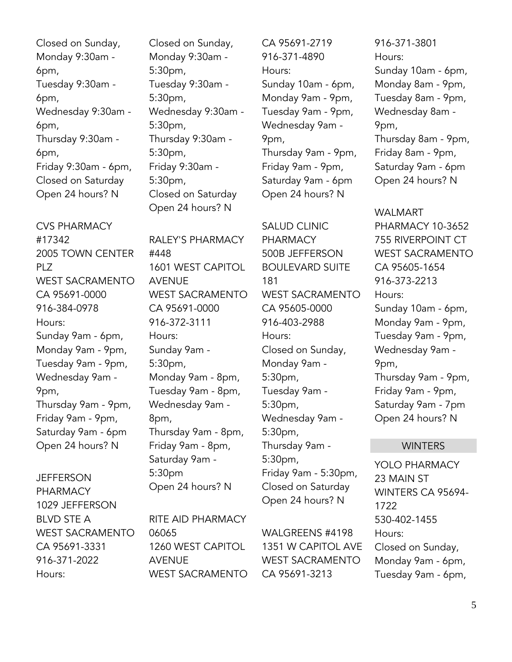Closed on Sunday, Monday 9:30am - 6pm, Tuesday 9:30am - 6pm, Wednesday 9:30am - 6pm, Thursday 9:30am - 6pm, Friday 9:30am - 6pm, Closed on Saturday Open 24 hours? N

CVS PHARMACY #17342 2005 TOWN CENTER PLZ WEST SACRAMENTO CA 95691-0000 916-384-0978 Hours: Sunday 9am - 6pm, Monday 9am - 9pm, Tuesday 9am - 9pm, Wednesday 9am - 9pm, Thursday 9am - 9pm, Friday 9am - 9pm, Saturday 9am - 6pm Open 24 hours? N

**JEFFERSON** PHARMACY 1029 JEFFERSON BLVD STE A WEST SACRAMENTO CA 95691-3331 916-371-2022 Hours:

Closed on Sunday, Monday 9:30am - 5:30pm, Tuesday 9:30am - 5:30pm, Wednesday 9:30am - 5:30pm, Thursday 9:30am - 5:30pm, Friday 9:30am - 5:30pm, Closed on Saturday Open 24 hours? N

RALEY'S PHARMACY #448 1601 WEST CAPITOL AVENUE WEST SACRAMENTO CA 95691-0000 916-372-3111 Hours: Sunday 9am - 5:30pm, Monday 9am - 8pm, Tuesday 9am - 8pm, Wednesday 9am - 8pm, Thursday 9am - 8pm, Friday 9am - 8pm, Saturday 9am - 5:30pm Open 24 hours? N

RITE AID PHARMACY 06065 1260 WEST CAPITOL AVENUE WEST SACRAMENTO CA 95691-2719 916-371-4890 Hours: Sunday 10am - 6pm, Monday 9am - 9pm, Tuesday 9am - 9pm, Wednesday 9am - 9pm, Thursday 9am - 9pm, Friday 9am - 9pm, Saturday 9am - 6pm Open 24 hours? N

SALUD CLINIC PHARMACY 500B JEFFERSON BOULEVARD SUITE 181 WEST SACRAMENTO CA 95605-0000 916-403-2988 Hours: Closed on Sunday, Monday 9am - 5:30pm, Tuesday 9am - 5:30pm, Wednesday 9am - 5:30pm, Thursday 9am - 5:30pm, Friday 9am - 5:30pm, Closed on Saturday Open 24 hours? N

WALGREENS #4198 1351 W CAPITOL AVE WEST SACRAMENTO CA 95691-3213

916-371-3801 Hours: Sunday 10am - 6pm, Monday 8am - 9pm, Tuesday 8am - 9pm, Wednesday 8am - 9pm, Thursday 8am - 9pm, Friday 8am - 9pm, Saturday 9am - 6pm Open 24 hours? N

WALMART PHARMACY 10-3652 755 RIVERPOINT CT WEST SACRAMENTO CA 95605-1654 916-373-2213 Hours: Sunday 10am - 6pm, Monday 9am - 9pm, Tuesday 9am - 9pm, Wednesday 9am - 9pm, Thursday 9am - 9pm, Friday 9am - 9pm, Saturday 9am - 7pm Open 24 hours? N

#### **WINTERS**

YOLO PHARMACY 23 MAIN ST WINTERS CA 95694- 1722 530-402-1455 Hours: Closed on Sunday, Monday 9am - 6pm, Tuesday 9am - 6pm,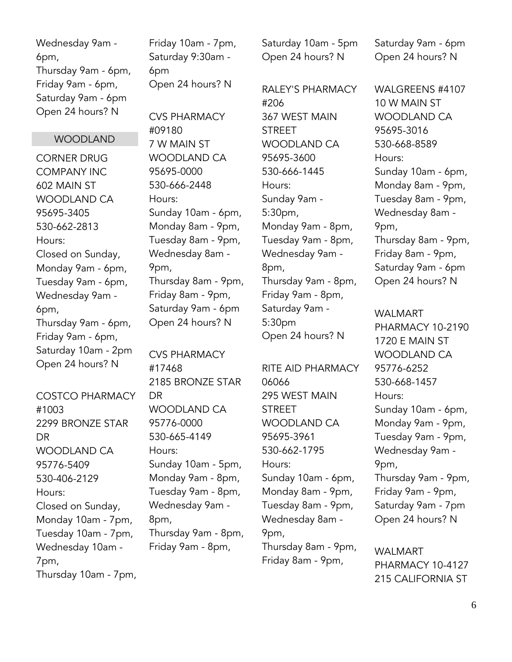Wednesday 9am - 6pm, Thursday 9am - 6pm, Friday 9am - 6pm, Saturday 9am - 6pm Open 24 hours? N

#### WOODLAND

CORNER DRUG COMPANY INC 602 MAIN ST WOODLAND CA 95695-3405 530-662-2813 Hours: Closed on Sunday, Monday 9am - 6pm, Tuesday 9am - 6pm, Wednesday 9am - 6pm, Thursday 9am - 6pm, Friday 9am - 6pm, Saturday 10am - 2pm Open 24 hours? N

COSTCO PHARMACY #1003 2299 BRONZE STAR DR WOODLAND CA 95776-5409 530-406-2129 Hours: Closed on Sunday, Monday 10am - 7pm, Tuesday 10am - 7pm, Wednesday 10am - 7pm, Thursday 10am - 7pm, Friday 10am - 7pm, Saturday 9:30am - 6pm Open 24 hours? N

CVS PHARMACY #09180 7 W MAIN ST WOODLAND CA 95695-0000 530-666-2448 Hours: Sunday 10am - 6pm, Monday 8am - 9pm, Tuesday 8am - 9pm, Wednesday 8am - 9pm, Thursday 8am - 9pm, Friday 8am - 9pm, Saturday 9am - 6pm Open 24 hours? N

CVS PHARMACY #17468 2185 BRONZE STAR DR WOODLAND CA 95776-0000 530-665-4149 Hours: Sunday 10am - 5pm, Monday 9am - 8pm, Tuesday 9am - 8pm, Wednesday 9am - 8pm, Thursday 9am - 8pm, Friday 9am - 8pm,

Saturday 10am - 5pm Open 24 hours? N

RALEY'S PHARMACY #206 367 WEST MAIN **STREET** WOODLAND CA 95695-3600 530-666-1445 Hours: Sunday 9am - 5:30pm, Monday 9am - 8pm, Tuesday 9am - 8pm, Wednesday 9am - 8pm, Thursday 9am - 8pm, Friday 9am - 8pm, Saturday 9am - 5:30pm Open 24 hours? N

RITE AID PHARMACY 06066 295 WEST MAIN **STREET** WOODLAND CA 95695-3961 530-662-1795 Hours: Sunday 10am - 6pm, Monday 8am - 9pm, Tuesday 8am - 9pm, Wednesday 8am - 9pm, Thursday 8am - 9pm, Friday 8am - 9pm,

Saturday 9am - 6pm Open 24 hours? N

WALGREENS #4107 10 W MAIN ST WOODLAND CA 95695-3016 530-668-8589 Hours: Sunday 10am - 6pm, Monday 8am - 9pm, Tuesday 8am - 9pm, Wednesday 8am - 9pm, Thursday 8am - 9pm, Friday 8am - 9pm, Saturday 9am - 6pm Open 24 hours? N

WALMART PHARMACY 10-2190 1720 E MAIN ST WOODLAND CA 95776-6252 530-668-1457 Hours: Sunday 10am - 6pm, Monday 9am - 9pm, Tuesday 9am - 9pm, Wednesday 9am - 9pm, Thursday 9am - 9pm, Friday 9am - 9pm, Saturday 9am - 7pm Open 24 hours? N

WALMART PHARMACY 10-4127 215 CALIFORNIA ST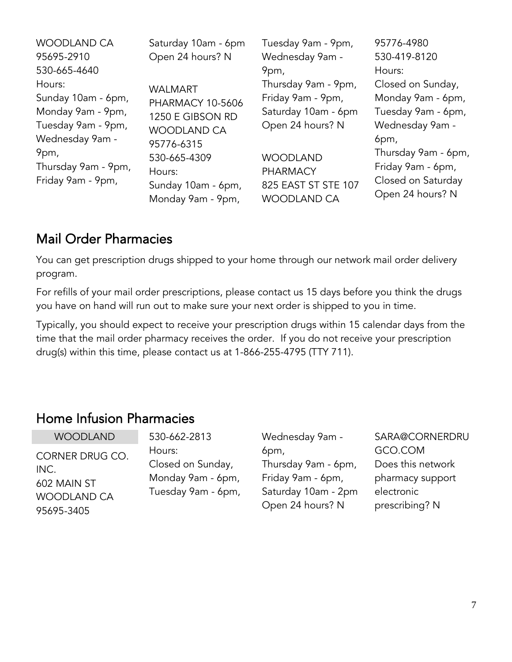| WOODLAND CA                                                                                                                               | Saturday 10am - 6pm                                                                                                         | Tuesday 9am - 9pm,                                                                                                                | 95776-4980                                                                                                                                    |
|-------------------------------------------------------------------------------------------------------------------------------------------|-----------------------------------------------------------------------------------------------------------------------------|-----------------------------------------------------------------------------------------------------------------------------------|-----------------------------------------------------------------------------------------------------------------------------------------------|
| 95695-2910                                                                                                                                | Open 24 hours? N                                                                                                            | Wednesday 9am -                                                                                                                   | 530-419-8120                                                                                                                                  |
| 530-665-4640<br>Hours:<br>Sunday 10am - 6pm,<br>Monday 9am - 9pm,<br>Tuesday 9am - 9pm,<br>Wednesday 9am -<br>9pm,<br>Thursday 9am - 9pm, | <b>WALMART</b><br><b>PHARMACY 10-5606</b><br>1250 E GIBSON RD<br><b>WOODLAND CA</b><br>95776-6315<br>530-665-4309<br>Hours: | 9pm,<br>Thursday 9am - 9pm,<br>Friday 9am - 9pm,<br>Saturday 10am - 6pm<br>Open 24 hours? N<br><b>WOODLAND</b><br><b>PHARMACY</b> | Hours:<br>Closed on Sunday,<br>Monday 9am - 6pm,<br>Tuesday 9am - 6pm,<br>Wednesday 9am -<br>6pm,<br>Thursday 9am - 6pm,<br>Friday 9am - 6pm, |
| Friday 9am - 9pm,                                                                                                                         | Sunday 10am - 6pm,                                                                                                          | 825 EAST ST STE 107                                                                                                               | Closed on Saturday                                                                                                                            |
|                                                                                                                                           | Monday 9am - 9pm,                                                                                                           | <b>WOODLAND CA</b>                                                                                                                | Open 24 hours? N                                                                                                                              |

## <span id="page-6-0"></span>Mail Order Pharmacies

You can get prescription drugs shipped to your home through our network mail order delivery program.

For refills of your mail order prescriptions, please contact us 15 days before you think the drugs you have on hand will run out to make sure your next order is shipped to you in time.

Typically, you should expect to receive your prescription drugs within 15 calendar days from the time that the mail order pharmacy receives the order. If you do not receive your prescription drug(s) within this time, please contact us at 1-866-255-4795 (TTY 711).

## <span id="page-6-1"></span>Home Infusion Pharmacies

| <b>WOODLAND</b>    | 530-662-2813       | Wednesday 9am -     | SARA@CORNERDRU    |
|--------------------|--------------------|---------------------|-------------------|
| CORNER DRUG CO.    | Hours:             | 6pm,                | GCO.COM           |
| INC.               | Closed on Sunday,  | Thursday 9am - 6pm, | Does this network |
| 602 MAIN ST        | Monday 9am - 6pm,  | Friday 9am - 6pm,   | pharmacy support  |
| <b>WOODLAND CA</b> | Tuesday 9am - 6pm, | Saturday 10am - 2pm | electronic        |
| 95695-3405         |                    | Open 24 hours? N    | prescribing? N    |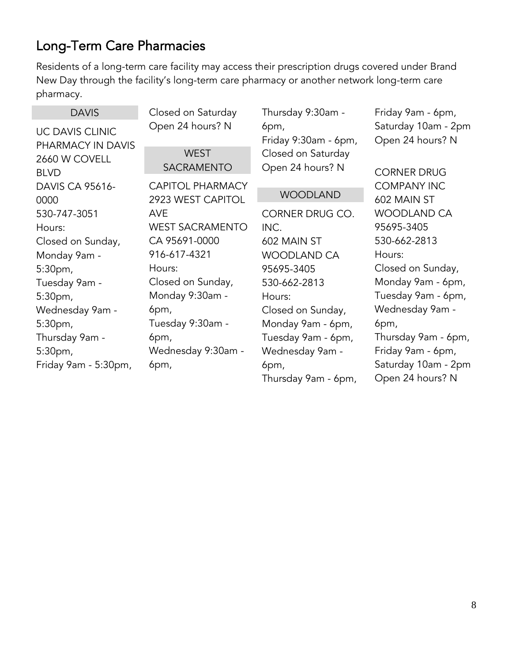## <span id="page-7-0"></span>Long-Term Care Pharmacies

Residents of a long-term care facility may access their prescription drugs covered under Brand New Day through the facility's long-term care pharmacy or another network long-term care pharmacy.

| <b>DAVIS</b>                         | Closed on Saturday                           | Thursday 9:30am -                      | Friday 9am - 6pm,                       |
|--------------------------------------|----------------------------------------------|----------------------------------------|-----------------------------------------|
| UC DAVIS CLINIC<br>PHARMACY IN DAVIS | Open 24 hours? N                             | 6pm,<br>Friday 9:30am - 6pm,           | Saturday 10am - 2pm<br>Open 24 hours? N |
| 2660 W COVELL<br><b>BLVD</b>         | <b>WEST</b><br><b>SACRAMENTO</b>             | Closed on Saturday<br>Open 24 hours? N | <b>CORNER DRUG</b>                      |
| <b>DAVIS CA 95616-</b><br>0000       | <b>CAPITOL PHARMACY</b><br>2923 WEST CAPITOL | <b>WOODLAND</b>                        | <b>COMPANY INC</b><br>602 MAIN ST       |
| 530-747-3051                         | <b>AVE</b>                                   | CORNER DRUG CO.                        | WOODLAND CA                             |
| Hours:                               | <b>WEST SACRAMENTO</b>                       | INC.                                   | 95695-3405                              |
| Closed on Sunday,                    | CA 95691-0000                                | 602 MAIN ST                            | 530-662-2813                            |
| Monday 9am -                         | 916-617-4321                                 | <b>WOODLAND CA</b>                     | Hours:                                  |
| 5:30pm,                              | Hours:                                       | 95695-3405                             | Closed on Sunday,                       |
| Tuesday 9am -                        | Closed on Sunday,                            | 530-662-2813                           | Monday 9am - 6pm,                       |
| 5:30 <sub>pm</sub>                   | Monday 9:30am -                              | Hours:                                 | Tuesday 9am - 6pm,                      |
| Wednesday 9am -                      | 6pm,                                         | Closed on Sunday,                      | Wednesday 9am -                         |
| 5:30pm,                              | Tuesday 9:30am -                             | Monday 9am - 6pm,                      | 6pm,                                    |
| Thursday 9am -                       | 6pm,                                         | Tuesday 9am - 6pm,                     | Thursday 9am - 6pm,                     |
| 5:30pm,                              | Wednesday 9:30am -                           | Wednesday 9am -                        | Friday 9am - 6pm,                       |
| Friday 9am - 5:30pm,                 | 6pm,                                         | 6pm,                                   | Saturday 10am - 2pm                     |
|                                      |                                              | Thursday 9am - 6pm,                    | Open 24 hours? N                        |